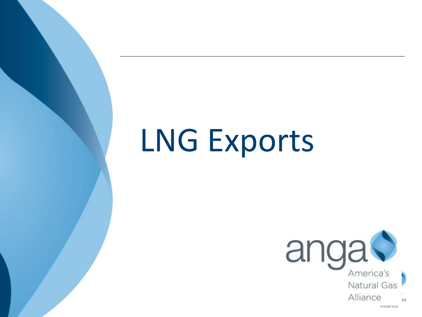# LNG Exports

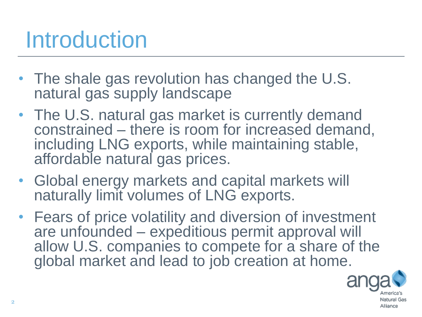### Introduction

- The shale gas revolution has changed the U.S. natural gas supply landscape
- The U.S. natural gas market is currently demand constrained – there is room for increased demand, including LNG exports, while maintaining stable, affordable natural gas prices.
- Global energy markets and capital markets will naturally limit volumes of LNG exports.
- Fears of price volatility and diversion of investment are unfounded – expeditious permit approval will allow U.S. companies to compete for a share of the global market and lead to job creation at home.

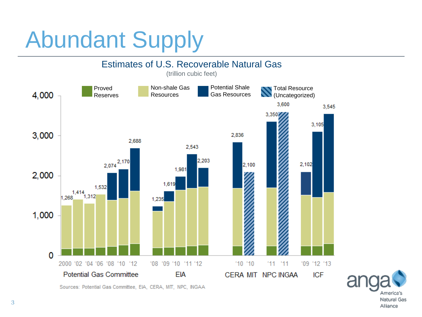# Abundant Supply



America's Natural Gas Alliance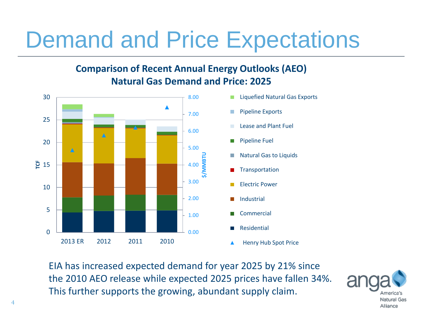### Demand and Price Expectations

#### **Comparison of Recent Annual Energy Outlooks (AEO) Natural Gas Demand and Price: 2025**



EIA has increased expected demand for year 2025 by 21% since the 2010 AEO release while expected 2025 prices have fallen 34%. This further supports the growing, abundant supply claim.

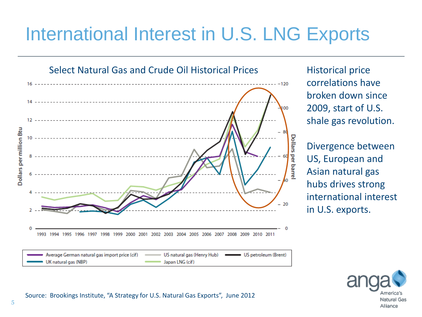#### International Interest in U.S. LNG Exports



Historical price correlations have broken down since 2009, start of U.S. shale gas revolution.

Divergence between US, European and Asian natural gas hubs drives strong international interest in U.S. exports.



Source: Brookings Institute, "A Strategy for U.S. Natural Gas Exports", June 2012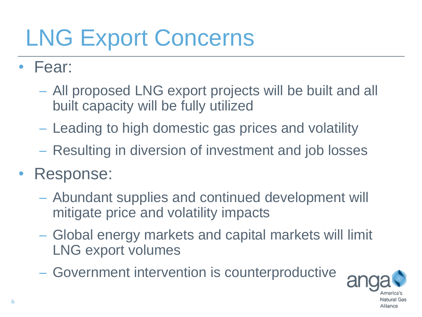# LNG Export Concerns

#### • Fear:

- ─ All proposed LNG export projects will be built and all built capacity will be fully utilized
- ─ Leading to high domestic gas prices and volatility
- ─ Resulting in diversion of investment and job losses

#### • Response:

- ─ Abundant supplies and continued development will mitigate price and volatility impacts
- ─ Global energy markets and capital markets will limit LNG export volumes
- ─ Government intervention is counterproductive

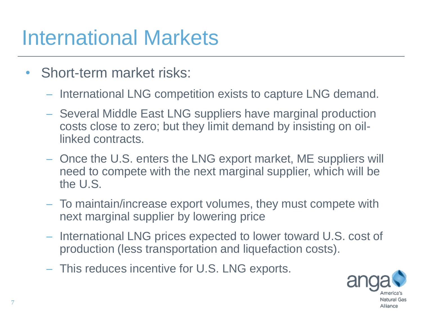#### International Markets

- Short-term market risks:
	- ─ International LNG competition exists to capture LNG demand.
	- ─ Several Middle East LNG suppliers have marginal production costs close to zero; but they limit demand by insisting on oillinked contracts.
	- ─ Once the U.S. enters the LNG export market, ME suppliers will need to compete with the next marginal supplier, which will be the U.S.
	- ─ To maintain/increase export volumes, they must compete with next marginal supplier by lowering price
	- ─ International LNG prices expected to lower toward U.S. cost of production (less transportation and liquefaction costs).
	- ─ This reduces incentive for U.S. LNG exports.

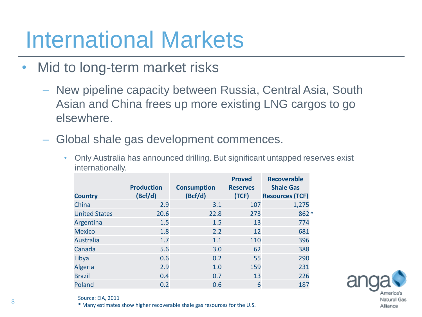#### International Markets

- Mid to long-term market risks
	- ─ New pipeline capacity between Russia, Central Asia, South Asian and China frees up more existing LNG cargos to go elsewhere.
	- ─ Global shale gas development commences.
		- Only Australia has announced drilling. But significant untapped reserves exist internationally.

| <b>Country</b>       | <b>Production</b><br>(Bcf/d) | <b>Consumption</b><br>(Bcf/d) | <b>Proved</b><br><b>Reserves</b><br>(TCF) | <b>Recoverable</b><br><b>Shale Gas</b><br><b>Resources (TCF)</b> |
|----------------------|------------------------------|-------------------------------|-------------------------------------------|------------------------------------------------------------------|
| China                | 2.9                          | 3.1                           | 107                                       | 1,275                                                            |
| <b>United States</b> | 20.6                         | 22.8                          | 273                                       | $862*$                                                           |
| Argentina            | 1.5                          | 1.5                           | 13                                        | 774                                                              |
| <b>Mexico</b>        | 1.8                          | 2.2                           | 12                                        | 681                                                              |
| <b>Australia</b>     | 1.7                          | 1.1                           | 110                                       | 396                                                              |
| Canada               | 5.6                          | 3.0                           | 62                                        | 388                                                              |
| Libya                | 0.6                          | 0.2                           | 55                                        | 290                                                              |
| Algeria              | 2.9                          | 1.0                           | 159                                       | 231                                                              |
| <b>Brazil</b>        | 0.4                          | 0.7                           | 13                                        | 226                                                              |
| Poland               | 0.2                          | 0.6                           | 6                                         | 187                                                              |



Source: EIA, 2011

\* Many estimates show higher recoverable shale gas resources for the U.S.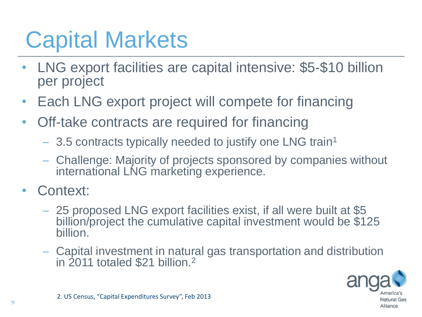# Capital Markets

- LNG export facilities are capital intensive: \$5-\$10 billion per project
- Each LNG export project will compete for financing
- Off-take contracts are required for financing
	- 3.5 contracts typically needed to justify one LNG train<sup>1</sup>
	- ─ Challenge: Majority of projects sponsored by companies without international LNG marketing experience.
- Context:
	- 25 proposed LNG export facilities exist, if all were built at \$5 billion/project the cumulative capital investment would be \$125 billion.
	- ─ Capital investment in natural gas transportation and distribution in 2011 totaled \$21 billion.<sup>2</sup>

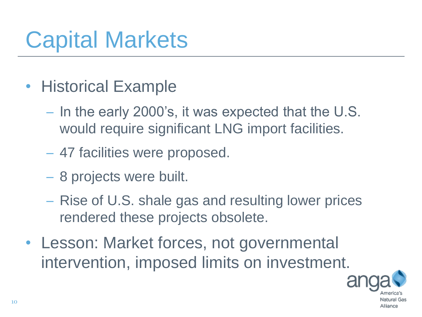# Capital Markets

- Historical Example
	- ─ In the early 2000's, it was expected that the U.S. would require significant LNG import facilities.
	- ─ 47 facilities were proposed.
	- ─ 8 projects were built.
	- ─ Rise of U.S. shale gas and resulting lower prices rendered these projects obsolete.
- Lesson: Market forces, not governmental intervention, imposed limits on investment.



Alliance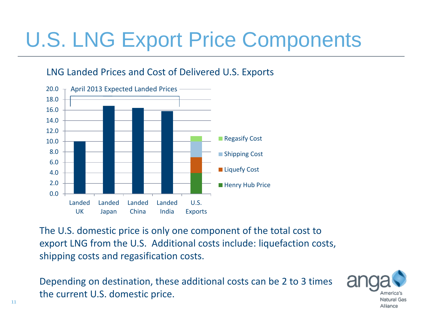#### U.S. LNG Export Price Components

#### LNG Landed Prices and Cost of Delivered U.S. Exports



The U.S. domestic price is only one component of the total cost to export LNG from the U.S. Additional costs include: liquefaction costs, shipping costs and regasification costs.

Depending on destination, these additional costs can be 2 to 3 times the current U.S. domestic price.

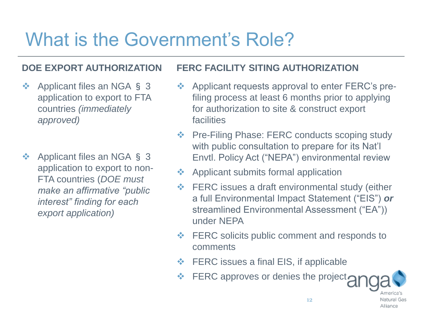#### What is the Government's Role?

#### **DOE EXPORT AUTHORIZATION**

- ❖ Applicant files an NGA § 3 application to export to FTA countries *(immediately approved)*
- ❖ Applicant files an NGA § 3 application to export to non-FTA countries (*DOE must make an affirmative "public interest" finding for each export application)*

#### **FERC FACILITY SITING AUTHORIZATION**

- ❖ Applicant requests approval to enter FERC's prefiling process at least 6 months prior to applying for authorization to site & construct export facilities
- **Example Pre-Filing Phase: FERC conducts scoping study** with public consultation to prepare for its Nat'l Envtl. Policy Act ("NEPA") environmental review
- ❖ Applicant submits formal application
- **ERC** issues a draft environmental study (either a full Environmental Impact Statement ("EIS") *or* streamlined Environmental Assessment ("EA")) under NEPA
- **ERC** solicits public comment and responds to comments
- $\triangleleft$  FERC issues a final EIS, if applicable
- ❖ FERC approves or denies the project.

Natural Gas Alliance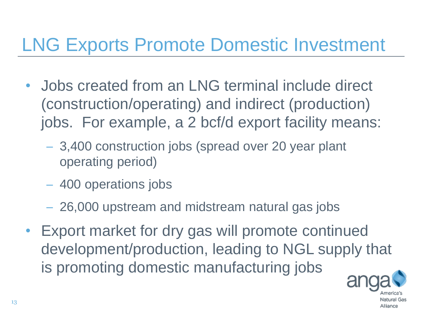#### LNG Exports Promote Domestic Investment

- Jobs created from an LNG terminal include direct (construction/operating) and indirect (production) jobs. For example, a 2 bcf/d export facility means:
	- ─ 3,400 construction jobs (spread over 20 year plant operating period)
	- ─ 400 operations jobs
	- ─ 26,000 upstream and midstream natural gas jobs
- Export market for dry gas will promote continued development/production, leading to NGL supply that is promoting domestic manufacturing jobs



Alliance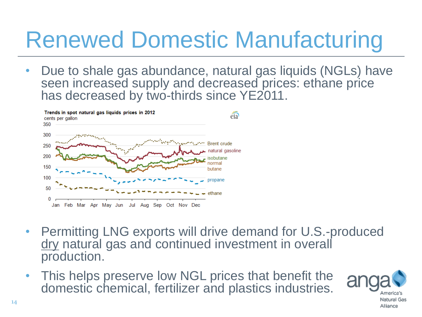# Renewed Domestic Manufacturing

• Due to shale gas abundance, natural gas liquids (NGLs) have seen increased supply and decreased prices: ethane price has decreased by two-thirds since YE2011.



- Permitting LNG exports will drive demand for U.S.-produced dry natural gas and continued investment in overall production.
- This helps preserve low NGL prices that benefit the domestic chemical, fertilizer and plastics industries.

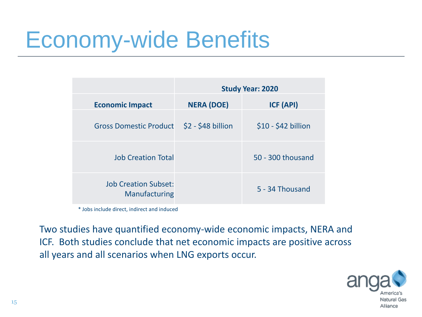### Economy-wide Benefits

|                                                     | <b>Study Year: 2020</b> |                     |
|-----------------------------------------------------|-------------------------|---------------------|
| <b>Economic Impact</b>                              | <b>NERA (DOE)</b>       | <b>ICF (API)</b>    |
| <b>Gross Domestic Product</b>                       | $$2 - $48$ billion      | \$10 - \$42 billion |
| <b>Job Creation Total</b>                           |                         | 50 - 300 thousand   |
| <b>Job Creation Subset:</b><br><b>Manufacturing</b> |                         | 5 - 34 Thousand     |

\* Jobs include direct, indirect and induced

Two studies have quantified economy-wide economic impacts, NERA and ICF. Both studies conclude that net economic impacts are positive across all years and all scenarios when LNG exports occur.